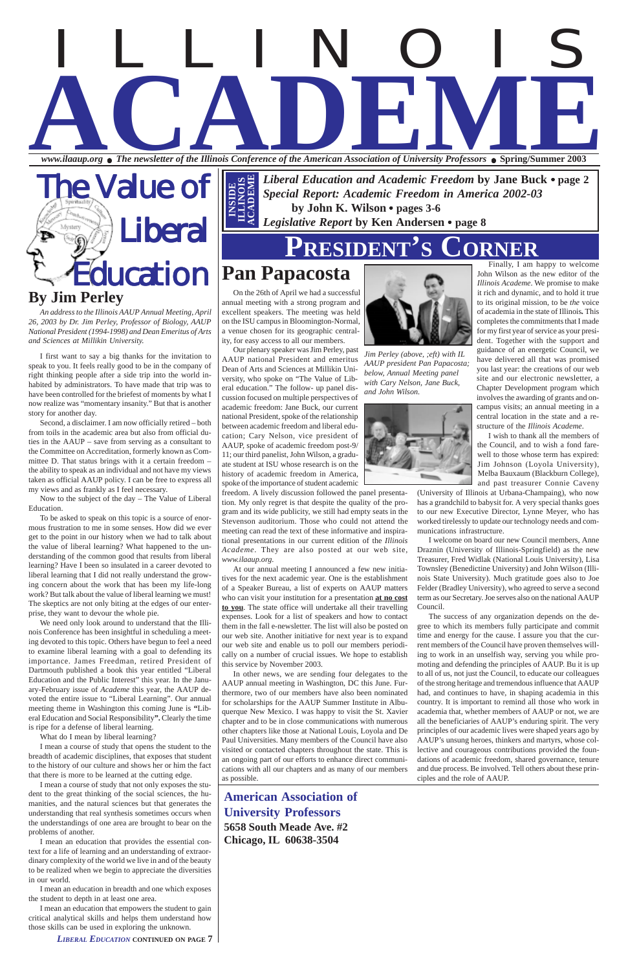#### **By Jim Perley**

*www.ilaaup.org* ● *The newsletter of the Illinois Conference of the American Association of University Professors* ● **Spring/Summer 2003**

The Value of iberal ducation

*An address to the Illinois AAUP Annual Meeting, April 26, 2003 by Dr. Jim Perley, Professor of Biology, AAUP National President (1994-1998) and Dean Emeritus of Arts and Sciences at Millikin University.*

I first want to say a big thanks for the invitation to speak to you. It feels really good to be in the company of right thinking people after a side trip into the world inhabited by administrators. To have made that trip was to have been controlled for the briefest of moments by what I now realize was "momentary insanity." But that is another story for another day.

Second, a disclaimer. I am now officially retired – both from toils in the academic area but also from official duties in the AAUP – save from serving as a consultant to the Committee on Accreditation, formerly known as Committee D. That status brings with it a certain freedom – the ability to speak as an individual and not have my views taken as official AAUP policy. I can be free to express all my views and as frankly as I feel necessary.

Now to the subject of the day – The Value of Liberal Education.

To be asked to speak on this topic is a source of enormous frustration to me in some senses. How did we ever get to the point in our history when we had to talk about the value of liberal learning? What happened to the understanding of the common good that results from liberal learning? Have I been so insulated in a career devoted to liberal learning that I did not really understand the growing concern about the work that has been my life-long work? But talk about the value of liberal learning we must! The skeptics are not only biting at the edges of our enterprise, they want to devour the whole pie.

# ILLINOIS **ACCEPT OF The newsletter of the Illinois Conference of the American Association of University Professors • Spring/Summer 2003**

We need only look around to understand that the Illinois Conference has been insightful in scheduling a meeting devoted to this topic. Others have begun to feel a need to examine liberal learning with a goal to defending its importance. James Freedman, retired President of Dartmouth published a book this year entitled "Liberal Education and the Public Interest" this year. In the January-February issue of *Academe* this year, the AAUP devoted the entire issue to "Liberal Learning". Our annual meeting theme in Washington this coming June is **"**Lib-

eral Education and Social Responsibility**".** Clearly the time is ripe for a defense of liberal learning.

What do I mean by liberal learning?

I mean a course of study that opens the student to the breadth of academic disciplines, that exposes that student to the history of our culture and shows her or him the fact that there is more to be learned at the cutting edge.

I mean a course of study that not only exposes the student to the great thinking of the social sciences, the humanities, and the natural sciences but that generates the understanding that real synthesis sometimes occurs when the understandings of one area are brought to bear on the problems of another.

I mean an education that provides the essential context for a life of learning and an understanding of extraordinary complexity of the world we live in and of the beauty to be realized when we begin to appreciate the diversities in our world.

I mean an education in breadth and one which exposes the student to depth in at least one area.

I mean an education that empowers the student to gain critical analytical skills and helps them understand how those skills can be used in exploring the unknown.

**American Association of University Professors 5658 South Meade Ave. #2**

*Special Report: Academic Freedom in America 2002-03* **by John K. Wilson** ● **pages 3-6** *Legislative Report* **by Ken Andersen** ● **page 8**

# **PRESIDENT'S CORNER**

### **Pan Papacosta**

On the 26th of April we had a successful annual meeting with a strong program and excellent speakers. The meeting was held on the ISU campus in Bloomington-Normal, a venue chosen for its geographic centrality, for easy access to all our members.

**Chicago, IL 60638-3504 ILlinois Chicago, IL 60638-3504 ILlinois Chicago, IL 60638-3504 ILlinois Chicago, IL 60638-3504 ILlinois Chicago, IL 60638-3504 ILlinois Chicago, IL 60638-3504 ILlinois Chicago, IL 6063** The success of any organization depends on the degree to which its members fully participate and commit time and energy for the cause. I assure you that the current members of the Council have proven themselves willing to work in an unselfish way, serving you while promoting and defending the principles of AAUP. Bu it is up to all of us, not just the Council, to educate our colleagues of the strong heritage and tremendous influence that AAUP had, and continues to have, in shaping academia in this country. It is important to remind all those who work in academia that, whether members of AAUP or not, we are all the beneficiaries of AAUP's enduring spirit. The very principles of our academic lives were shaped years ago by AAUP's unsung heroes, thinkers and martyrs, whose collective and courageous contributions provided the foundations of academic freedom, shared governance, tenure and due process. Be involved. Tell others about these principles and the role of AAUP.

Our plenary speaker was Jim Perley, past AAUP national President and emeritus Dean of Arts and Sciences at Millikin University, who spoke on "The Value of Liberal education." The follow- up panel discussion focused on multiple perspectives of academic freedom: Jane Buck, our current national President, spoke of the relationship between academic freedom and liberal education; Cary Nelson, vice president of AAUP, spoke of academic freedom post-9/ 11; our third panelist, John Wilson, a graduate student at ISU whose research is on the history of academic freedom in America, spoke of the importance of student academic

freedom. A lively discussion followed the panel presentation. My only regret is that despite the quality of the program and its wide publicity, we still had empty seats in the Stevenson auditorium. Those who could not attend the meeting can read the text of these informative and inspirational presentations in our current edition of the *Illinois Academe*. They are also posted at our web site, *www.ilaaup.org*.

At our annual meeting I announced a few new initiatives for the next academic year. One is the establishment of a Speaker Bureau, a list of experts on AAUP matters who can visit your institution for a presentation **at no cost to you**. The state office will undertake all their travelling expenses. Look for a list of speakers and how to contact them in the fall e-newsletter. The list will also be posted on our web site. Another initiative for next year is to expand our web site and enable us to poll our members periodically on a number of crucial issues. We hope to establish this service by November 2003.

In other news, we are sending four delegates to the AAUP annual meeting in Washington, DC this June. Furthermore, two of our members have also been nominated for scholarships for the AAUP Summer Institute in Albuquerque New Mexico. I was happy to visit the St. Xavier chapter and to be in close communications with numerous other chapters like those at National Louis, Loyola and De Paul Universities. Many members of the Council have also visited or contacted chapters throughout the state. This is an ongoing part of our efforts to enhance direct communications with all our chapters and as many of our members as possible.

Finally, I am happy to welcome John Wilson as the new editor of the *Illinois Academe*. We promise to make it rich and dynamic, and to hold it true to its original mission, to be *the* voice of academia in the state of Illinois*.* This completes the commitments that I made for my first year of service as your president. Together with the support and guidance of an energetic Council, we have delivered all that was promised you last year: the creations of our web site and our electronic newsletter, a Chapter Development program which involves the awarding of grants and oncampus visits; an annual meeting in a central location in the state and a restructure of the *Illinois Academe*.

I wish to thank all the members of the Council, and to wish a fond farewell to those whose term has expired: Jim Johnson (Loyola University), Melba Bauxaum (Blackburn College), and past treasurer Connie Caveny

(University of Illinois at Urbana-Champaing), who now has a grandchild to babysit for. A very special thanks goes to our new Executive Director, Lynne Meyer, who has worked tirelessly to update our technology needs and communications infrastructure.

I welcome on board our new Council members, Anne Draznin (University of Illinois-Springfield) as the new Treasurer, Fred Widlak (National Louis University), Lisa Townsley (Benedictine University) and John Wilson (Illinois State University). Much gratitude goes also to Joe Felder (Bradley University), who agreed to serve a second term as our Secretary. Joe serves also on the national AAUP Council.

*LIBERAL EDUCATION* **CONTINUED ON PAGE 7**



*Jim Perley (above, ;eft) with IL AAUP president Pan Papacosta; below, Annual Meeting panel with Cary Nelson, Jane Buck, and John Wilson.*

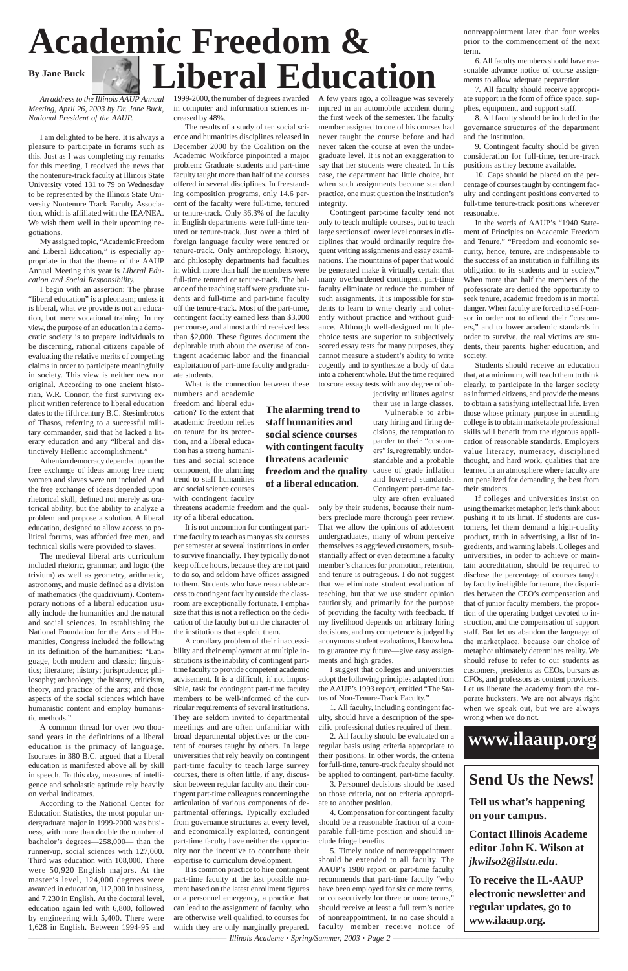*An address to the Illinois AAUP Annual Meeting, April 26, 2003 by Dr. Jane Buck, National President of the AAUP.*

I am delighted to be here. It is always a pleasure to participate in forums such as this. Just as I was completing my remarks for this meeting, I received the news that the nontenure-track faculty at Illinois State University voted 131 to 79 on Wednesday to be represented by the Illinois State University Nontenure Track Faculty Association, which is affiliated with the IEA/NEA. We wish them well in their upcoming negotiations.

My assigned topic, "Academic Freedom and Liberal Education," is especially appropriate in that the theme of the AAUP Annual Meeting this year is *Liberal Education and Social Responsibility.*

I begin with an assertion: The phrase "liberal education" is a pleonasm; unless it is liberal, what we provide is not an education, but mere vocational training. In my view, the purpose of an education in a democratic society is to prepare individuals to be discerning, rational citizens capable of evaluating the relative merits of competing claims in order to participate meaningfully in society. This view is neither new nor original. According to one ancient historian, W.R. Connor, the first surviving explicit written reference to liberal education dates to the fifth century B.C. Stesimbrotos of Thasos, referring to a successful military commander, said that he lacked a literary education and any "liberal and distinctively Hellenic accomplishment."

Athenian democracy depended upon the free exchange of ideas among free men; women and slaves were not included. And the free exchange of ideas depended upon rhetorical skill, defined not merely as oratorical ability, but the ability to analyze a problem and propose a solution. A liberal education, designed to allow access to political forums, was afforded free men, and technical skills were provided to slaves.

The medieval liberal arts curriculum included rhetoric, grammar, and logic (the trivium) as well as geometry, arithmetic, astronomy, and music defined as a division of mathematics (the quadrivium). Contemporary notions of a liberal education usually include the humanities and the natural and social sciences. In establishing the National Foundation for the Arts and Humanities, Congress included the following in its definition of the humanities: "Language, both modern and classic; linguistics; literature; history; jurisprudence; philosophy; archeology; the history, criticism, theory, and practice of the arts; and those aspects of the social sciences which have humanistic content and employ humanis-

tic methods."

A common thread for over two thousand years in the definitions of a liberal education is the primacy of language. Isocrates in 380 B.C. argued that a liberal education is manifested above all by skill in speech. To this day, measures of intelligence and scholastic aptitude rely heavily on verbal indicators.

According to the National Center for Education Statistics, the most popular undergraduate major in 1999-2000 was business, with more than double the number of bachelor's degrees—258,000— than the runner-up, social sciences with 127,000. Third was education with 108,000. There were 50,920 English majors. At the master's level, 124,000 degrees were awarded in education, 112,000 in business, and 7,230 in English. At the doctoral level, education again led with 6,800, followed by engineering with 5,400. There were 1,628 in English. Between 1994-95 and

1999-2000, the number of degrees awarded in computer and information sciences increased by 48%.

The results of a study of ten social science and humanities disciplines released in December 2000 by the Coalition on the Academic Workforce pinpointed a major problem: Graduate students and part-time faculty taught more than half of the courses offered in several disciplines. In freestanding composition programs, only 14.6 percent of the faculty were full-time, tenured or tenure-track. Only 36.3% of the faculty in English departments were full-time tenured or tenure-track. Just over a third of foreign language faculty were tenured or tenure-track. Only anthropology, history, and philosophy departments had faculties in which more than half the members were full-time tenured or tenure-track. The balance of the teaching staff were graduate students and full-time and part-time faculty off the tenure-track. Most of the part-time, contingent faculty earned less than \$3,000 per course, and almost a third received less than \$2,000. These figures document the deplorable truth about the overuse of contingent academic labor and the financial exploitation of part-time faculty and graduate students.

What is the connection between these numbers and academic

freedom and liberal education? To the extent that academic freedom relies on tenure for its protection, and a liberal education has a strong humanities and social science component, the alarming trend to staff humanities and social science courses with contingent faculty threatens academic freedom and the qual-

ity of a liberal education.

It is not uncommon for contingent parttime faculty to teach as many as six courses per semester at several institutions in order to survive financially. They typically do not keep office hours, because they are not paid to do so, and seldom have offices assigned to them. Students who have reasonable access to contingent faculty outside the classroom are exceptionally fortunate. I emphasize that this is not a reflection on the dedication of the faculty but on the character of the institutions that exploit them.

A corollary problem of their inaccessibility and their employment at multiple institutions is the inability of contingent parttime faculty to provide competent academic advisement. It is a difficult, if not impossible, task for contingent part-time faculty members to be well-informed of the curricular requirements of several institutions. They are seldom invited to departmental meetings and are often unfamiliar with broad departmental objectives or the content of courses taught by others. In large universities that rely heavily on contingent part-time faculty to teach large survey courses, there is often little, if any, discussion between regular faculty and their contingent part-time colleagues concerning the articulation of various components of departmental offerings. Typically excluded from governance structures at every level, and economically exploited, contingent part-time faculty have neither the opportunity nor the incentive to contribute their expertise to curriculum development. It is common practice to hire contingent part-time faculty at the last possible moment based on the latest enrollment figures or a personnel emergency, a practice that can lead to the assignment of faculty, who are otherwise well qualified, to courses for which they are only marginally prepared.

# **Academic Freedom & By Jane Buck**  $\left| \bigotimes_{\mathbb{Z}} \right|$  Liberal Education

A few years ago, a colleague was severely injured in an automobile accident during the first week of the semester. The faculty member assigned to one of his courses had never taught the course before and had never taken the course at even the undergraduate level. It is not an exaggeration to say that her students were cheated. In this case, the department had little choice, but when such assignments become standard practice, one must question the institution's integrity.

Contingent part-time faculty tend not only to teach multiple courses, but to teach large sections of lower level courses in disciplines that would ordinarily require frequent writing assignments and essay examinations. The mountains of paper that would be generated make it virtually certain that many overburdened contingent part-time faculty eliminate or reduce the number of such assignments. It is impossible for students to learn to write clearly and coherently without practice and without guidance. Although well-designed multiplechoice tests are superior to subjectively scored essay tests for many purposes, they cannot measure a student's ability to write cogently and to synthesize a body of data into a coherent whole. But the time required to score essay tests with any degree of objectivity militates against

their use in large classes.

Vulnerable to arbitrary hiring and firing decisions, the temptation to pander to their "customers" is, regrettably, understandable and a probable cause of grade inflation and lowered standards. Contingent part-time faculty are often evaluated

only by their students, because their numbers preclude more thorough peer review. That we allow the opinions of adolescent undergraduates, many of whom perceive themselves as aggrieved customers, to substantially affect or even determine a faculty member's chances for promotion, retention, and tenure is outrageous. I do not suggest that we eliminate student evaluation of teaching, but that we use student opinion cautiously, and primarily for the purpose of providing the faculty with feedback. If my livelihood depends on arbitrary hiring decisions, and my competence is judged by anonymous student evaluations, I know how to guarantee my future—give easy assignments and high grades.

I suggest that colleges and universities adopt the following principles adapted from the AAUP's 1993 report, entitled "The Status of Non-Tenure-Track Faculty."

1. All faculty, including contingent fac-

ulty, should have a description of the specific professional duties required of them.

2. All faculty should be evaluated on a regular basis using criteria appropriate to their positions. In other words, the criteria for full-time, tenure-track faculty should not be applied to contingent, part-time faculty.

3. Personnel decisions should be based on those criteria, not on criteria appropriate to another position.

4. Compensation for contingent faculty should be a reasonable fraction of a comparable full-time position and should include fringe benefits.

5. Timely notice of nonreappointment should be extended to all faculty. The AAUP's 1980 report on part-time faculty recommends that part-time faculty "who have been employed for six or more terms, or consecutively for three or more terms," should receive at least a full term's notice of nonreappointment. In no case should a faculty member receive notice of nonreappointment later than four weeks prior to the commencement of the next term.

6. All faculty members should have reasonable advance notice of course assignments to allow adequate preparation.

7. All faculty should receive appropriate support in the form of office space, supplies, equipment, and support staff.

8. All faculty should be included in the governance structures of the department and the institution.

9. Contingent faculty should be given consideration for full-time, tenure-track positions as they become available.

10. Caps should be placed on the percentage of courses taught by contingent faculty and contingent positions converted to full-time tenure-track positions wherever reasonable.

In the words of AAUP's "1940 Statement of Principles on Academic Freedom and Tenure," "Freedom and economic security, hence, tenure, are indispensable to the success of an institution in fulfilling its obligation to its students and to society." When more than half the members of the professorate are denied the opportunity to seek tenure, academic freedom is in mortal danger. When faculty are forced to self-censor in order not to offend their "customers," and to lower academic standards in order to survive, the real victims are students, their parents, higher education, and society.

Students should receive an education that, at a minimum, will teach them to think clearly, to participate in the larger society as informed citizens, and provide the means to obtain a satisfying intellectual life. Even those whose primary purpose in attending college is to obtain marketable professional skills will benefit from the rigorous application of reasonable standards. Employers value literacy, numeracy, disciplined thought, and hard work, qualities that are learned in an atmosphere where faculty are not penalized for demanding the best from their students.

If colleges and universities insist on using the market metaphor, let's think about pushing it to its limit. If students are customers, let them demand a high-quality product, truth in advertising, a list of ingredients, and warning labels. Colleges and universities, in order to achieve or maintain accreditation, should be required to disclose the percentage of courses taught by faculty ineligible for tenure, the disparities between the CEO's compensation and that of junior faculty members, the proportion of the operating budget devoted to instruction, and the compensation of support staff. But let us abandon the language of the marketplace, because our choice of metaphor ultimately determines reality. We should refuse to refer to our students as customers, presidents as CEOs, bursars as CFOs, and professors as content providers. Let us liberate the academy from the corporate hucksters. We are not always right when we speak out, but we are always

wrong when we do not.

————————————————————————— *Illinois Academe · Spring/Summer, 2003 · Page 2* ——————————————————————————

**The alarming trend to staff humanities and social science courses with contingent faculty threatens academic freedom and the quality of a liberal education.**

> **Send Us the News! Tell us what's happening on your campus.**

**Contact Illinois Academe editor John K. Wilson at** *jkwilso2@ilstu.edu***.**

**To receive the IL-AAUP electronic newsletter and regular updates, go to www.ilaaup.org.**

### **www.ilaaup.org**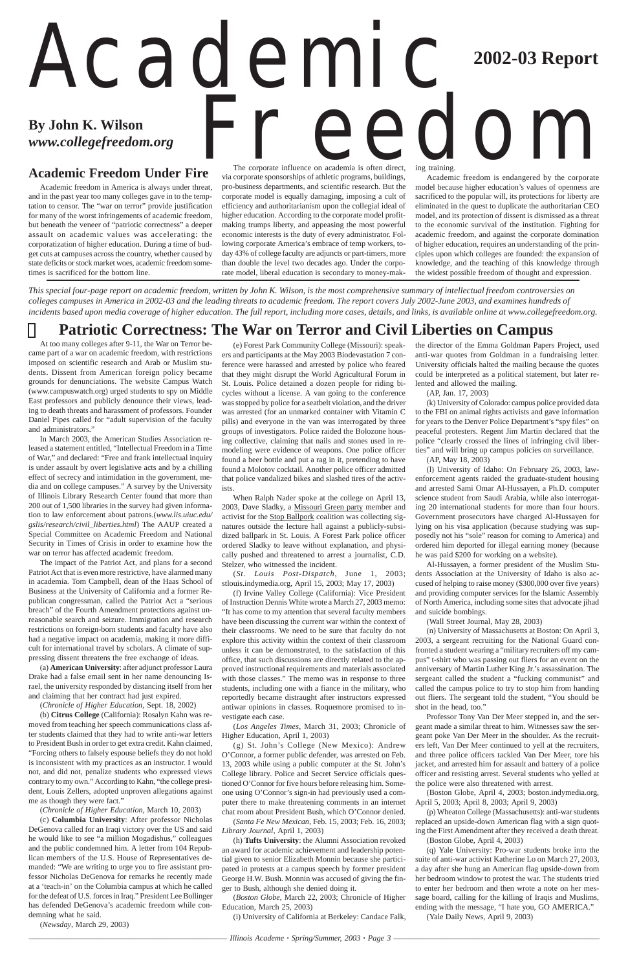————————————————————————— *Illinois Academe · Spring/Summer, 2003 · Page 3* ——————————————————————————

#### **Academic Freedom Under Fire**

# Academic **By John K. Wilson** *By John K. Wilson*<br>*Www.collegefreedom.org* FreeDCOM **2002-03 Report** The corporate influence on academia is often direct,

Academic freedom in America is always under threat, and in the past year too many colleges gave in to the temptation to censor. The "war on terror" provide justification for many of the worst infringements of academic freedom, but beneath the veneer of "patriotic correctness" a deeper assault on academic values was accelerating: the corporatization of higher education. During a time of budget cuts at campuses across the country, whether caused by state deficits or stock market woes, academic freedom sometimes is sacrificed for the bottom line.

via corporate sponsorships of athletic programs, buildings, pro-business departments, and scientific research. But the corporate model is equally damaging, imposing a cult of efficiency and authoritarianism upon the collegial ideal of higher education. According to the corporate model profitmaking trumps liberty, and appeasing the most powerful economic interests is the duty of every administrator. Following corporate America's embrace of temp workers, today 43% of college faculty are adjuncts or part-timers, more than double the level two decades ago. Under the corporate model, liberal education is secondary to money-making training.

Academic freedom is endangered by the corporate model because higher education's values of openness are sacrificed to the popular will, its protections for liberty are eliminated in the quest to duplicate the authoritarian CEO model, and its protection of dissent is dismissed as a threat to the economic survival of the institution. Fighting for academic freedom, and against the corporate domination of higher education, requires an understanding of the principles upon which colleges are founded: the expansion of knowledge, and the teaching of this knowledge through the widest possible freedom of thought and expression.

*This special four-page report on academic freedom, written by John K. Wilson, is the most comprehensive summary of intellectual freedom controversies on colleges campuses in America in 2002-03 and the leading threats to academic freedom. The report covers July 2002-June 2003, and examines hundreds of incidents based upon media coverage of higher education. The full report, including more cases, details, and links, is available online at www.collegefreedom.org.*

#### **Patriotic Correctness: The War on Terror and Civil Liberties on Campus**

At too many colleges after 9-11, the War on Terror became part of a war on academic freedom, with restrictions imposed on scientific research and Arab or Muslim students. Dissent from American foreign policy became grounds for denunciations. The website Campus Watch (www.campuswatch.org) urged students to spy on Middle East professors and publicly denounce their views, leading to death threats and harassment of professors. Founder Daniel Pipes called for "adult supervision of the faculty and administrators."

In March 2003, the American Studies Association released a statement entitled, "Intellectual Freedom in a Time of War," and declared: "Free and frank intellectual inquiry is under assault by overt legislative acts and by a chilling effect of secrecy and intimidation in the government, media and on college campuses." A survey by the University of Illinois Library Research Center found that more than 200 out of 1,500 libraries in the survey had given information to law enforcement about patrons.(*www.lis.uiuc.edu/ gslis/research/civil\_liberties.html*) The AAUP created a Special Committee on Academic Freedom and National Security in Times of Crisis in order to examine how the war on terror has affected academic freedom.

The impact of the Patriot Act, and plans for a second Patriot Act that is even more restrictive, have alarmed many in academia. Tom Campbell, dean of the Haas School of Business at the University of California and a former Republican congressman, called the Patriot Act a "serious breach" of the Fourth Amendment protections against unreasonable search and seizure. Immigration and research restrictions on foreign-born students and faculty have also had a negative impact on academia, making it more difficult for international travel by scholars. A climate of suppressing dissent threatens the free exchange of ideas.

(a) **American University**: after adjunct professor Laura Drake had a false email sent in her name denouncing Israel, the university responded by distancing itself from her and claiming that her contract had just expired.

(*Chronicle of Higher Education*, Sept. 18, 2002)

(b) **Citrus College** (California): Rosalyn Kahn was removed from teaching her speech communications class after students claimed that they had to write anti-war letters to President Bush in order to get extra credit. Kahn claimed, "Forcing others to falsely espouse beliefs they do not hold is inconsistent with my practices as an instructor. I would not, and did not, penalize students who expressed views contrary to my own." According to Kahn, "the college president, Louis Zellers, adopted unproven allegations against me as though they were fact."

(*Chronicle of Higher Education*, March 10, 2003)

(c) **Columbia University**: After professor Nicholas DeGenova called for an Iraqi victory over the US and said he would like to see "a million Mogadishus," colleagues and the public condemned him. A letter from 104 Republican members of the U.S. House of Representatives demanded: "We are writing to urge you to fire assistant professor Nicholas DeGenova for remarks he recently made at a 'teach-in' on the Columbia campus at which he called for the defeat of U.S. forces in Iraq." President Lee Bollinger has defended DeGenova's academic freedom while condemning what he said.

(*Newsday*, March 29, 2003)

(e) Forest Park Community College (Missouri): speakers and participants at the May 2003 Biodevastation 7 conference were harassed and arrested by police who feared that they might disrupt the World Agricultural Forum in St. Louis. Police detained a dozen people for riding bicycles without a license. A van going to the conference was stopped by police for a seatbelt violation, and the driver was arrested (for an unmarked container with Vitamin C pills) and everyone in the van was interrogated by three groups of investigators. Police raided the Bolozone housing collective, claiming that nails and stones used in remodeling were evidence of weapons. One police officer found a beer bottle and put a rag in it, pretending to have found a Molotov cocktail. Another police officer admitted that police vandalized bikes and slashed tires of the activists.

When Ralph Nader spoke at the college on April 13, 2003, Dave Sladky, a Missouri Green party member and activist for the Stop Ballpork coalition was collecting signatures outside the lecture hall against a publicly-subsidized ballpark in St. Louis. A Forest Park police officer ordered Sladky to leave without explanation, and physically pushed and threatened to arrest a journalist, C.D. Stelzer, who witnessed the incident.

(*St. Louis Post-Dispatch*, June 1, 2003; stlouis.indymedia.org, April 15, 2003; May 17, 2003)

(f) Irvine Valley College (California): Vice President of Instruction Dennis White wrote a March 27, 2003 memo: "It has come to my attention that several faculty members have been discussing the current war within the context of their classrooms. We need to be sure that faculty do not explore this activity within the context of their classroom unless it can be demonstrated, to the satisfaction of this office, that such discussions are directly related to the approved instructional requirements and materials associated with those classes." The memo was in response to three students, including one with a fiance in the military, who reportedly became distraught after instructors expressed antiwar opinions in classes. Roquemore promised to in-

vestigate each case.

(*Los Angeles Times*, March 31, 2003; Chronicle of Higher Education, April 1, 2003)

(g) St. John's College (New Mexico): Andrew O'Connor, a former public defender, was arrested on Feb. 13, 2003 while using a public computer at the St. John's College library. Police and Secret Service officials questioned O'Connor for five hours before releasing him. Someone using O'Connor's sign-in had previously used a computer there to make threatening comments in an internet chat room about President Bush, which O'Connor denied.

(*Santa Fe New Mexican*, Feb. 15, 2003; Feb. 16, 2003; *Library Journal*, April 1, 2003)

(h) **Tufts University**: the Alumni Association revoked an award for academic achievement and leadership potential given to senior Elizabeth Monnin because she participated in protests at a campus speech by former president George H.W. Bush. Monnin was accused of giving the finger to Bush, although she denied doing it.

(*Boston Globe*, March 22, 2003; Chronicle of Higher Education, March 25, 2003)

(i) University of California at Berkeley: Candace Falk,

the director of the Emma Goldman Papers Project, used anti-war quotes from Goldman in a fundraising letter. University officials halted the mailing because the quotes could be interpreted as a political statement, but later relented and allowed the mailing.

(AP, Jan. 17, 2003)

(k) University of Colorado: campus police provided data to the FBI on animal rights activists and gave information for years to the Denver Police Department's "spy files" on peaceful protesters. Regent Jim Martin declared that the police "clearly crossed the lines of infringing civil liberties" and will bring up campus policies on surveillance.

(AP, May 18, 2003)

(l) University of Idaho: On February 26, 2003, lawenforcement agents raided the graduate-student housing and arrested Sami Omar Al-Hussayen, a Ph.D. computer science student from Saudi Arabia, while also interrogating 20 international students for more than four hours. Government prosecutors have charged Al-Hussayen for lying on his visa application (because studying was supposedly not his "sole" reason for coming to America) and ordered him deported for illegal earning money (because he was paid \$200 for working on a website).

Al-Hussayen, a former president of the Muslim Students Association at the University of Idaho is also accused of helping to raise money (\$300,000 over five years) and providing computer services for the Islamic Assembly of North America, including some sites that advocate jihad and suicide bombings.

(Wall Street Journal, May 28, 2003)

(n) University of Massachusetts at Boston: On April 3, 2003, a sergeant recruiting for the National Guard confronted a student wearing a "military recruiters off my campus" t-shirt who was passing out fliers for an event on the anniversary of Martin Luther King Jr.'s assassination. The sergeant called the student a "fucking communist" and called the campus police to try to stop him from handing out fliers. The sergeant told the student, "You should be shot in the head, too." Professor Tony Van Der Meer stepped in, and the sergeant made a similar threat to him. Witnesses saw the sergeant poke Van Der Meer in the shoulder. As the recruiters left, Van Der Meer continued to yell at the recruiters, and three police officers tackled Van Der Meer, tore his jacket, and arrested him for assault and battery of a police officer and resisting arrest. Several students who yelled at the police were also threatened with arrest.

(Boston Globe, April 4, 2003; boston.indymedia.org, April 5, 2003; April 8, 2003; April 9, 2003)

(p) Wheaton College (Massachusetts): anti-war students replaced an upside-down American flag with a sign quoting the First Amendment after they received a death threat.

(Boston Globe, April 4, 2003)

(q) Yale University: Pro-war students broke into the suite of anti-war activist Katherine Lo on March 27, 2003, a day after she hung an American flag upside-down from her bedroom window to protest the war. The students tried to enter her bedroom and then wrote a note on her message board, calling for the killing of Iraqis and Muslims, ending with the message, "I hate you, GO AMERICA."

(Yale Daily News, April 9, 2003)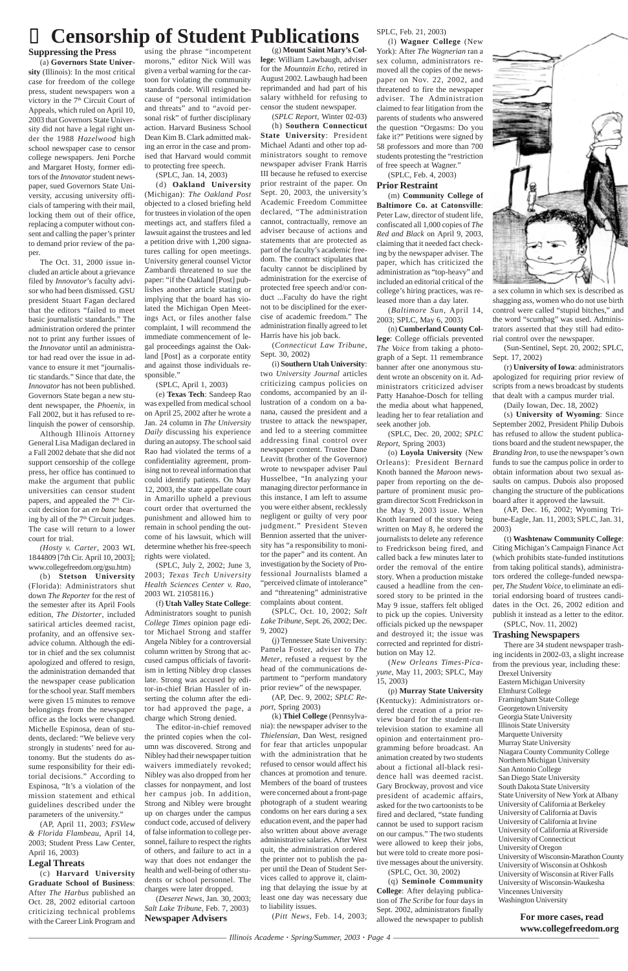### Censorship of Student Publications SPLC, Feb. 21, 2003)

#### **Suppressing the Press**

(a) **Governors State University** (Illinois): In the most critical case for freedom of the college press, student newspapers won a victory in the 7<sup>th</sup> Circuit Court of Appeals, which ruled on April 10, 2003 that Governors State University did not have a legal right under the 1988 *Hazelwood* high school newspaper case to censor college newspapers. Jeni Porche and Margaret Hosty, former editors of the *Innovator* student newspaper, sued Governors State University, accusing university officials of tampering with their mail, locking them out of their office, replacing a computer without consent and calling the paper's printer to demand prior review of the paper.

The Oct. 31, 2000 issue included an article about a grievance filed by *Innovator*'s faculty advisor who had been dismissed. GSU president Stuart Fagan declared that the editors "failed to meet basic journalistic standards." The administration ordered the printer not to print any further issues of the *Innovator* until an administrator had read over the issue in advance to ensure it met "journalistic standards." Since that date, the *Innovator* has not been published. Governors State began a new student newspaper, the *Phoenix*, in Fall 2002, but it has refused to relinquish the power of censorship.

Although Illinois Attorney General Lisa Madigan declared in a Fall 2002 debate that she did not support censorship of the college press, her office has continued to make the argument that public universities can censor student papers, and appealed the 7<sup>th</sup> Circuit decision for an *en banc* hearing by all of the 7<sup>th</sup> Circuit judges. The case will return to a lower court for trial.

*(Hosty v. Carter*, 2003 WL 1844809 [7th Cir. April 10, 2003]; www.collegefreedom.org/gsu.htm)

(b) **Stetson University** (Florida): Administrators shut down *The Reporter* for the rest of the semester after its April Fools edition, *The Distorter*, included satirical articles deemed racist, profanity, and an offensive sexadvice column. Although the editor in chief and the sex columnist apologized and offered to resign, the administration demanded that the newspaper cease publication for the school year. Staff members were given 15 minutes to remove belongings from the newspaper office as the locks were changed. Michelle Espinosa, dean of students, declared: "We believe very strongly in students' need for autonomy. But the students do assume responsibility for their editorial decisions." According to Espinosa, "It's a violation of the mission statement and ethical guidelines described under the parameters of the university."

(AP, April 11, 2003; *FSView & Florida Flambeau*, April 14, 2003; Student Press Law Center, April 16, 2003)

#### **Legal Threats**

(c) **Harvard University Graduate School of Business**: After *The Harbus* published an Oct. 28, 2002 editorial cartoon criticizing technical problems with the Career Link Program and

using the phrase "incompetent morons," editor Nick Will was given a verbal warning for the cartoon for violating the community standards code. Will resigned because of "personal intimidation and threats" and to "avoid personal risk" of further disciplinary action. Harvard Business School Dean Kim B. Clark admitted making an error in the case and promised that Harvard would commit to protecting free speech.

(SPLC, Jan. 14, 2003)

(d) **Oakland University** (Michigan): *The Oakland Post* objected to a closed briefing held for trustees in violation of the open meetings act, and staffers filed a lawsuit against the trustees and led a petition drive with 1,200 signatures calling for open meetings. University general counsel Victor Zambardi threatened to sue the paper: "if the Oakland [Post] publishes another article stating or implying that the board has violated the Michigan Open Meetings Act, or files another false complaint, I will recommend the immediate commencement of legal proceedings against the Oakland [Post] as a corporate entity and against those individuals responsible."

(SPLC, April 1, 2003)

(e) **Texas Tech**: Sandeep Rao was expelled from medical school on April 25, 2002 after he wrote a Jan. 24 column in *The University Daily* discussing his experience during an autopsy. The school said Rao had violated the terms of a confidentiality agreement, promising not to reveal information that could identify patients. On May 12, 2003, the state appellate court in Amarillo upheld a previous court order that overturned the punishment and allowed him to remain in school pending the outcome of his lawsuit, which will determine whether his free-speech rights were violated.

(SPLC, July 2, 2002; June 3, 2003; *Texas Tech University Health Sciences Center v. Rao*, 2003 WL 21058116.)

(f) **Utah Valley State College**: Administrators sought to punish *College Times* opinion page editor Michael Strong and staffer Angela Nibley for a controversial column written by Strong that accused campus officials of favoritism in letting Nibley drop classes late. Strong was accused by editor-in-chief Brian Hassler of inserting the column after the editor had approved the page, a charge which Strong denied. The editor-in-chief removed the printed copies when the column was discovered. Strong and Nibley had their newspaper tuition waivers immediately revoked; Nibley was also dropped from her classes for nonpayment, and lost her campus job. In addition, Strong and Nibley were brought up on charges under the campus conduct code, accused of delivery of false information to college personnel, failure to respect the rights of others, and failure to act in a way that does not endanger the health and well-being of other students or school personnel. The charges were later dropped. (*Deseret News*, Jan. 30, 2003; *Salt Lake Tribune*, Feb. 7, 2003) **Newspaper Advisers**

(g) **Mount Saint Mary's College**: William Lawbaugh, adviser for the *Mountain Echo*, retired in August 2002. Lawbaugh had been reprimanded and had part of his salary withheld for refusing to censor the student newspaper.

(*SPLC Report*, Winter 02-03)

(h) **Southern Connecticut State University**: President Michael Adanti and other top administrators sought to remove newspaper adviser Frank Harris III because he refused to exercise prior restraint of the paper. On Sept. 20, 2003, the university's Academic Freedom Committee declared, "The administration cannot, contractually, remove an adviser because of actions and statements that are protected as part of the faculty's academic freedom. The contract stipulates that faculty cannot be disciplined by administration for the exercise of protected free speech and/or conduct ...Faculty do have the right not to be disciplined for the exercise of academic freedom." The administration finally agreed to let Harris have his job back.

(*Connecticut Law Tribune*, Sept. 30, 2002)

(i) **Southern Utah University**: two *University Journal* articles criticizing campus policies on condoms, accompanied by an illustration of a condom on a banana, caused the president and a trustee to attack the newspaper, and led to a steering committee addressing final control over newspaper content. Trustee Dane Leavitt (brother of the Governor) wrote to newspaper adviser Paul Husselbee, "In analyzing your managing director performance in this instance, I am left to assume you were either absent, recklessly negligent or guilty of very poor judgment." President Steven Bennion asserted that the university has "a responsibility to monitor the paper" and its content. An investigation by the Society of Professional Journalists blamed a "perceived climate of intolerance" and "threatening" administrative complaints about content.

(SPLC, Oct. 10, 2002; *Salt Lake Tribune*, Sept. 26, 2002; Dec. 9, 2002)

(j) Tennessee State University: Pamela Foster, adviser to *The Meter*, refused a request by the head of the communications department to "perform mandatory prior review" of the newspaper.

(AP, Dec. 9, 2002; *SPLC Report*, Spring 2003) (k) **Thiel College** (Pennsylvania): the newspaper adviser to the *Thielensian*, Dan West, resigned for fear that articles unpopular with the administration that he refused to censor would affect his chances at promotion and tenure. Members of the board of trustees were concerned about a front-page photograph of a student wearing condoms on her ears during a sex education event, and the paper had also written about above average administrative salaries. After West quit, the administration ordered the printer not to publish the paper until the Dean of Student Services called to approve it, claiming that delaying the issue by at least one day was necessary due to liability issues.

(*Pitt News*, Feb. 14, 2003;

(l) **Wagner College** (New York): After *The Wagnerian* ran a sex column, administrators removed all the copies of the newspaper on Nov. 22, 2002, and threatened to fire the newspaper adviser. The Administration claimed to fear litigation from the parents of students who answered the question "Orgasms: Do you fake it?" Petitions were signed by 58 professors and more than 700 students protesting the "restriction of free speech at Wagner."

(SPLC, Feb. 4, 2003)

#### **Prior Restraint**

(m) **Community College of Baltimore Co. at Catonsville**: Peter Law, director of student life, confiscated all 1,000 copies of *The Red and Black* on April 9, 2003, claiming that it needed fact checking by the newspaper adviser. The paper, which has criticized the administration as "top-heavy" and included an editorial critical of the college's hiring practices, was released more than a day later.

(*Baltimore Sun*, April 14, 2003; SPLC, May 6, 2003)

(n) **Cumberland County College**: College officials prevented *The Voice* from taking a photograph of a Sept. 11 remembrance banner after one anonymous student wrote an obscenity on it. Administrators criticized adviser Patty Hanahoe-Dosch for telling the media about what happened, leading her to fear retaliation and seek another job.

(SPLC, Dec. 20, 2002; *SPLC Report*, Spring 2003)

(o) **Loyola University** (New Orleans): President Bernard Knoth banned the *Maroon* newspaper from reporting on the departure of prominent music program director Scott Fredrickson in the May 9, 2003 issue. When Knoth learned of the story being written on May 8, he ordered the journalists to delete any reference to Fredrickson being fired, and called back a few minutes later to order the removal of the entire story. When a production mistake caused a headline from the censored story to be printed in the May 9 issue, staffers felt obliged to pick up the copies. University officials picked up the newspaper and destroyed it; the issue was corrected and reprinted for distribution on May 12.

(*New Orleans Times-Picayune*, May 11, 2003; SPLC, May 15, 2003)

(p) **Murray State University** (Kentucky): Administrators ordered the creation of a prior review board for the student-run television station to examine all opinion and entertainment programming before broadcast. An animation created by two students about a fictional all-black residence hall was deemed racist. Gary Brockway, provost and vice president of academic affairs, asked for the two cartoonists to be fired and declared, "state funding cannot be used to support racism on our campus." The two students were allowed to keep their jobs, but were told to create more positive messages about the university. (SPLC, Oct. 30, 2002)



(q) **Seminole Community College**: After delaying publication of *The Scribe* for four days in Sept. 2002, administrators finally allowed the newspaper to publish a sex column in which sex is described as shagging ass, women who do not use birth control were called "stupid bitches," and the word "scumbag" was used. Administrators asserted that they still had editorial control over the newspaper.

(Sun-Sentinel, Sept. 20, 2002; SPLC, Sept. 17, 2002)

(r) **University of Iowa**: administrators apologized for requiring prior review of scripts from a news broadcast by students that dealt with a campus murder trial.

(Daily Iowan, Dec. 18, 2002)

(s) **University of Wyoming**: Since September 2002, President Philip Dubois has refused to allow the student publications board and the student newspaper, the *Branding Iron,* to use the newspaper's own funds to sue the campus police in order to obtain information about two sexual assaults on campus. Dubois also proposed changing the structure of the publications board after it approved the lawsuit.

(AP, Dec. 16, 2002; Wyoming Tribune-Eagle, Jan. 11, 2003; SPLC, Jan. 31, 2003)

(t) **Washtenaw Community College**: Citing Michigan's Campaign Finance Act (which prohibits state-funded institutions from taking political stands), administrators ordered the college-funded newspaper, *The Student Voice*, to eliminate an editorial endorsing board of trustees candidates in the Oct. 26, 2002 edition and publish it instead as a letter to the editor. (SPLC, Nov. 11, 2002)

#### **Trashing Newspapers**

There are 34 student newspaper trashing incidents in 2002-03, a slight increase from the previous year, including these:

Drexel University Eastern Michigan University Elmhurst College Framingham State College Georgetown University Georgia State University Illinois State University Marquette University Murray State University Niagara County Community College Northern Michigan University San Antonio College San Diego State University South Dakota State University State University of New York at Albany University of California at Berkeley University of California at Davis University of California at Irvine University of California at Riverside University of Connecticut University of Oregon University of Wisconsin-Marathon County University of Wisconsin at Oshkosh University of Wisconsin at River Falls University of Wisconsin-Waukesha Vincennes University Washington University

> **For more cases, read www.collegefreedom.org**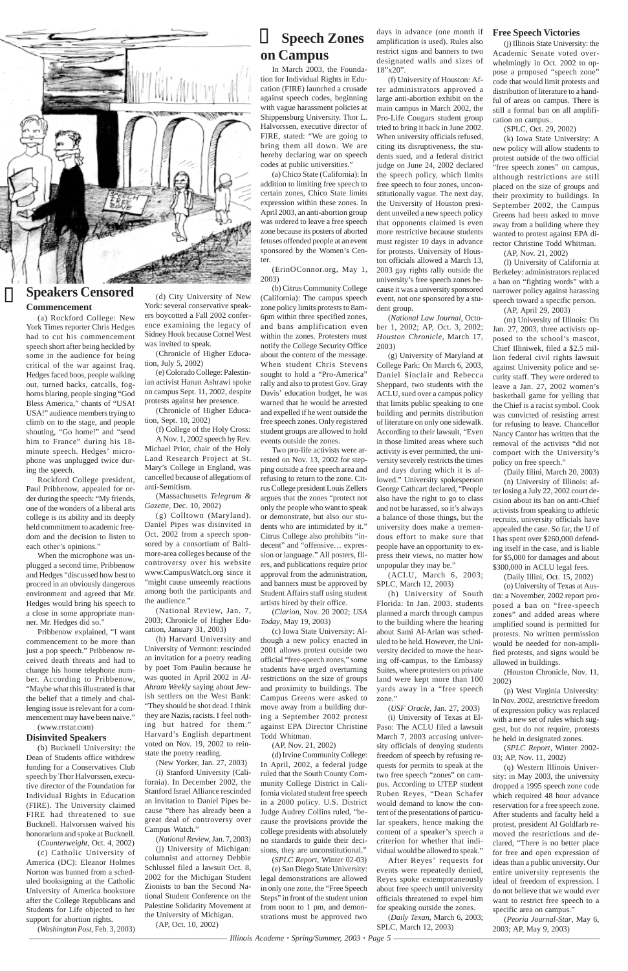————————————————————————— *Illinois Academe · Spring/Summer, 2003 · Page 5* ——————————————————————————



#### **Speech Zones on Campus**

In March 2003, the Foundation for Individual Rights in Education (FIRE) launched a crusade against speech codes, beginning with vague harassment policies at Shippensburg University. Thor L. Halvorssen, executive director of FIRE, stated: "We are going to bring them all down. We are hereby declaring war on speech codes at public universities."

(a) Chico State (California): In addition to limiting free speech to certain zones, Chico State limits expression within these zones. In April 2003, an anti-abortion group was ordered to leave a free speech zone because its posters of aborted fetuses offended people at an event sponsored by the Women's Center.

(ErinOConnor.org, May 1, 2003)

(b) Citrus Community College (California): The campus speech zone policy limits protests to 8am-6pm within three specified zones, and bans amplification even within the zones. Protesters must notify the College Security Office about the content of the message. When student Chris Stevens sought to hold a "Pro-America" rally and also to protest Gov. Gray Davis' education budget, he was warned that he would be arrested and expelled if he went outside the free speech zones. Only registered student groups are allowed to hold events outside the zones.

Two pro-life activists were arrested on Nov. 13, 2002 for stepping outside a free speech area and refusing to return to the zone. Citrus College president Louis Zellers argues that the zones "protect not only the people who want to speak or demonstrate, but also our students who are intimidated by it." Citrus College also prohibits "indecent" and "offensive… expression or language." All posters, fliers, and publications require prior approval from the administration, and banners must be approved by Student Affairs staff using student artists hired by their office.

(*Clarion*, Nov. 20 2002; *USA Today*, May 19, 2003)

(c) Iowa State University: Although a new policy enacted in 2001 allows protest outside two official "free-speech zones," some students have urged overturning restrictions on the size of groups and proximity to buildings. The Campus Greens were asked to move away from a building dur-

ing a September 2002 protest against EPA Director Christine Todd Whitman.

(AP, Nov. 21, 2002)

(h) University of South Florida: In Jan. 2003, students planned a march through campus to the building where the hearing about Sami Al-Arian was scheduled to be held. However, the University decided to move the hearing off-campus, to the Embassy Suites, where protesters on private land were kept more than 100 yards away in a "free speech zone."

(d) Irvine Community College: In April, 2002, a federal judge ruled that the South County Community College District in California violated student free speech in a 2000 policy. U.S. District Judge Audrey Collins ruled, "because the provisions provide the college presidents with absolutely no standards to guide their decisions, they are unconstitutional." (*SPLC Report*, Winter 02-03) (e) San Diego State University: legal demonstrations are allowed in only one zone, the "Free Speech Steps" in front of the student union from noon to 1 pm, and demonstrations must be approved two

days in advance (one month if amplification is used). Rules also restrict signs and banners to two designated walls and sizes of 18"x20".

(f) University of Houston: After administrators approved a large anti-abortion exhibit on the main campus in March 2002, the Pro-Life Cougars student group tried to bring it back in June 2002. When university officials refused, citing its disruptiveness, the students sued, and a federal district judge on June 24, 2002 declared the speech policy, which limits free speech to four zones, unconstitutionally vague. The next day, the University of Houston president unveiled a new speech policy that opponents claimed is even more restrictive because students must register 10 days in advance for protests. University of Houston officials allowed a March 13, 2003 gay rights rally outside the university's free speech zones because it was a university sponsored event, not one sponsored by a student group.

(*National Law Journal*, October 1, 2002; AP, Oct. 3, 2002; *Houston Chronicle*, March 17, 2003)

(g) University of Maryland at College Park: On March 6, 2003, Daniel Sinclair and Rebecca Sheppard, two students with the ACLU, sued over a campus policy that limits public speaking to one building and permits distribution of literature on only one sidewalk. According to their lawsuit, "Even in those limited areas where such activity is ever permitted, the university severely restricts the times and days during which it is allowed." University spokesperson George Cathcart declared, "People also have the right to go to class and not be harassed, so it's always a balance of those things, but the university does make a tremendous effort to make sure that people have an opportunity to express their views, no matter how unpopular they may be."

(ACLU, March 6, 2003; SPLC, March 12, 2003)

(*USF Oracle*, Jan. 27, 2003)

(i) University of Texas at El-Paso: The ACLU filed a lawsuit March 7, 2003 accusing university officials of denying students freedom of speech by refusing requests for permits to speak at the two free speech "zones" on campus. According to UTEP student Ruben Reyes, "Dean Schafer would demand to know the content of the presentations of particular speakers, hence making the content of a speaker's speech a criterion for whether that individual would be allowed to speak." After Reyes' requests for

events were repeatedly denied, Reyes spoke extemporaneously about free speech until university officials threatened to expel him for speaking outside the zones.

(*Daily Texan*, March 6, 2003; SPLC, March 12, 2003)

#### **Free Speech Victories**

(j) Illinois State University: the Academic Senate voted overwhelmingly in Oct. 2002 to oppose a proposed "speech zone" code that would limit protests and distribution of literature to a handful of areas on campus. There is still a formal ban on all amplification on campus..

(SPLC, Oct. 29, 2002)

(k) Iowa State University: A new policy will allow students to protest outside of the two official "free speech zones" on campus, although restrictions are still placed on the size of groups and their proximity to buildings. In September 2002, the Campus Greens had been asked to move away from a building where they wanted to protest against EPA director Christine Todd Whitman. (AP, Nov. 21, 2002)

(l) University of California at

Berkeley: administrators replaced a ban on "fighting words" with a narrower policy against harassing speech toward a specific person.

(AP, April 29, 2003)

(m) University of Illinois: On Jan. 27, 2003, three activists opposed to the school's mascot, Chief Illiniwek, filed a \$2.5 million federal civil rights lawsuit against University police and security staff. They were ordered to leave a Jan. 27, 2002 women's basketball game for yelling that the Chief is a racist symbol. Cook was convicted of resisting arrest for refusing to leave. Chancellor Nancy Cantor has written that the removal of the activists "did not comport with the University's policy on free speech."

(Daily Illini, March 20, 2003) (n) University of Illinois: after losing a July 22, 2002 court decision about its ban on anti-Chief activists from speaking to athletic recruits, university officials have appealed the case. So far, the U of I has spent over \$260,000 defending itself in the case, and is liable for \$5,000 for damages and about \$300,000 in ACLU legal fees.

(Daily Illini, Oct. 15, 2002)

(o) University of Texas at Austin: a November, 2002 report proposed a ban on "free-speech zones" and added areas where amplified sound is permitted for protests. No written permission would be needed for non-amplified protests, and signs would be allowed in buildings.

(Houston Chronicle, Nov. 11, 2002)

(p) West Virginia University: In Nov. 2002, arestrictive freedom of expression policy was replaced with a new set of rules which suggest, but do not require, protests be held in designated zones.

(*SPLC Report*, Winter 2002- 03; AP, Nov. 11, 2002)

(q) Western Illinois University: in May 2003, the university dropped a 1995 speech zone code which required 48 hour advance reservation for a free speech zone. After students and faculty held a protest, president Al Goldfarb removed the restrictions and declared, "There is no better place for free and open expression of ideas than a public university. Our entire university represents the ideal of freedom of expression. I do not believe that we would ever want to restrict free speech to a specific area on campus."

(*Peoria Journal-Star*, May 6, 2003; AP, May 9, 2003)

#### **Speakers Censored Commencement**

(a) Rockford College: New York Times reporter Chris Hedges had to cut his commencement speech short after being heckled by some in the audience for being critical of the war against Iraq. Hedges faced boos, people walking out, turned backs, catcalls, foghorns blaring, people singing "God Bless America," chants of "USA! USA!" audience members trying to climb on to the stage, and people shouting, "Go home!" and "send him to France" during his 18 minute speech. Hedges' microphone was unplugged twice during the speech.

Rockford College president, Paul Pribbenow, appealed for order during the speech: "My friends, one of the wonders of a liberal arts college is its ability and its deeply held commitment to academic freedom and the decision to listen to each other's opinions."

When the microphone was unplugged a second time, Pribbenow and Hedges "discussed how best to proceed in an obviously dangerous environment and agreed that Mr. Hedges would bring his speech to a close in some appropriate manner. Mr. Hedges did so."

Pribbenow explained, "I want commencement to be more than just a pop speech." Pribbenow received death threats and had to change his home telephone number. According to Pribbenow, "Maybe what this illustrated is that the belief that a timely and challenging issue is relevant for a com-

mencement may have been naive."

#### (www.rrstar.com) **Disinvited Speakers**

(b) Bucknell University: the Dean of Students office withdrew funding for a Conservatives Club speech by Thor Halvorssen, executive director of the Foundation for Individual Rights in Education (FIRE). The University claimed FIRE had threatened to sue Bucknell. Halvorssen waived his honorarium and spoke at Bucknell.

(*Counterweight*, Oct. 4, 2002)

(c) Catholic University of America (DC): Eleanor Holmes Norton was banned from a scheduled booksigning at the Catholic University of America bookstore after the College Republicans and Students for Life objected to her support for abortion rights.

(*Washington Post*, Feb. 3, 2003)

(d) City University of New York: several conservative speakers boycotted a Fall 2002 conference examining the legacy of Sidney Hook because Cornel West was invited to speak.

(Chronicle of Higher Education, July 5, 2002)

(e) Colorado College: Palestinian activist Hanan Ashrawi spoke on campus Sept. 11, 2002, despite protests against her presence.

(Chronicle of Higher Education, Sept. 10, 2002)

(f) College of the Holy Cross: A Nov. 1, 2002 speech by Rev. Michael Prior, chair of the Holy Land Research Project at St. Mary's College in England, was cancelled because of allegations of anti-Semitism.

(Massachusetts *Telegram & Gazette*, Dec. 10, 2002)

(g) Colltown (Maryland). Daniel Pipes was disinvited in Oct. 2002 from a speech sponsored by a consortium of Baltimore-area colleges because of the controversy over his website www.CampusWatch.org since it "might cause unseemly reactions among both the participants and the audience."

(National Review, Jan. 7, 2003; Chronicle of Higher Education, January 31, 2003)

(h) Harvard University and University of Vermont: rescinded an invitation for a poetry reading by poet Tom Paulin because he was quoted in April 2002 in *Al-Ahram Weekly* saying about Jewish settlers on the West Bank: "They should be shot dead. I think they are Nazis, racists. I feel nothing but hatred for them." Harvard's English department voted on Nov. 19, 2002 to reinstate the poetry reading. (New Yorker, Jan. 27, 2003) (i) Stanford University (California). In December 2002, the Stanford Israel Alliance rescinded an invitation to Daniel Pipes because "there has already been a great deal of controversy over Campus Watch." (*National Review*, Jan. 7, 2003) (j) University of Michigan: columnist and attorney Debbie Schlussel filed a lawsuit Oct. 8, 2002 for the Michigan Student Zionists to ban the Second National Student Conference on the Palestine Solidarity Movement at the University of Michigan.

(AP, Oct. 10, 2002)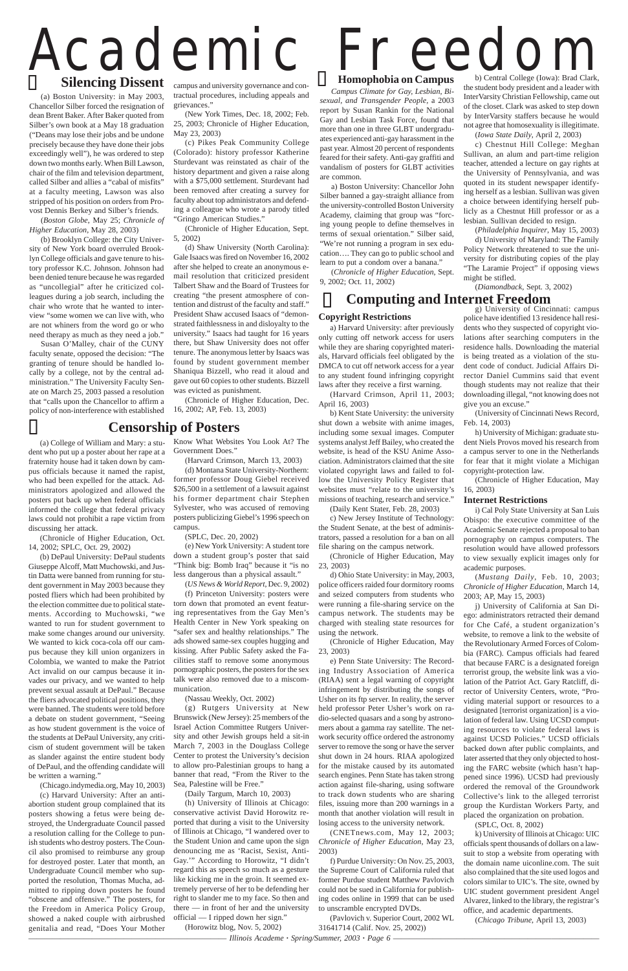————————————————————————— *Illinois Academe · Spring/Summer, 2003 · Page 6* ——————————————————————————

# Academic Freedom Silencing Dissent campus and university governance and con-

#### **Copyright Restrictions**

a) Harvard University: after previously only cutting off network access for users while they are sharing copyrighted materials, Harvard officials feel obligated by the DMCA to cut off network access for a year to any student found infringing copyright laws after they receive a first warning.

(Harvard Crimson, April 11, 2003; April 16, 2003)

b) Kent State University: the university shut down a website with anime images, including some sexual images. Computer systems analyst Jeff Bailey, who created the website, is head of the KSU Anime Association. Administrators claimed that the site violated copyright laws and failed to follow the University Policy Register that websites must "relate to the university's missions of teaching, research and service."

(Daily Kent Stater, Feb. 28, 2003)

c) New Jersey Institute of Technology: the Student Senate, at the best of administrators, passed a resolution for a ban on all file sharing on the campus network.

(Chronicle of Higher Education, May 23, 2003)

d) Ohio State University: in May, 2003, police officers raided four dormitory rooms and seized computers from students who were running a file-sharing service on the campus network. The students may be charged with stealing state resources for using the network.

(Chronicle of Higher Education, May 23, 2003)

e) Penn State University: The Recording Industry Association of America (RIAA) sent a legal warning of copyright infringement by distributing the songs of Usher on its ftp server. In reality, the server held professor Peter Usher's work on radio-selected quasars and a song by astronomers about a gamma ray satellite. The network security office ordered the astronomy server to remove the song or have the server shut down in 24 hours. RIAA apologized for the mistake caused by its automated search engines. Penn State has taken strong action against file-sharing, using software to track down students who are sharing files, issuing more than 200 warnings in a month that another violation will result in losing access to the university network.

(CNETnews.com, May 12, 2003; *Chronicle of Higher Education*, May 23, 2003)

f) Purdue University: On Nov. 25, 2003, the Supreme Court of California ruled that former Purdue student Matthew Pavlovich could not be sued in California for publishing codes online in 1999 that can be used to unscramble encrypted DVDs.

(Pavlovich v. Superior Court, 2002 WL 31641714 (Calif. Nov. 25, 2002))

g) University of Cincinnati: campus police have identified 13 residence hall residents who they suspected of copyright violations after searching computers in the residence halls. Downloading the material is being treated as a violation of the student code of conduct. Judicial Affairs Director Daniel Cummins said that event though students may not realize that their downloading illegal, "not knowing does not give you an excuse."

(University of Cincinnati News Record, Feb. 14, 2003)

h) University of Michigan: graduate student Niels Provos moved his research from a campus server to one in the Netherlands for fear that it might violate a Michigan copyright-protection law.

(Chronicle of Higher Education, May 16, 2003)

#### **Internet Restrictions**

i) Cal Poly State University at San Luis Obispo: the executive committee of the Academic Senate rejected a proposal to ban pornography on campus computers. The resolution would have allowed professors to view sexually explicit images only for academic purposes.

(*Mustang Daily*, Feb. 10, 2003; *Chronicle of Higher Education*, March 14, 2003; AP, May 15, 2003)

j) University of California at San Diego: administrators retracted their demand for Che Café, a student organization's website, to remove a link to the website of the Revolutionary Armed Forces of Colombia (FARC). Campus officials had feared that because FARC is a designated foreign terrorist group, the website link was a violation of the Patriot Act. Gary Ratcliff, director of University Centers, wrote, "Providing material support or resources to a designated [terrorist organization] is a violation of federal law. Using UCSD computing resources to violate federal laws is against UCSD Policies." UCSD officials backed down after public complaints, and later asserted that they only objected to hosting the FARC website (which hasn't happened since 1996). UCSD had previously ordered the removal of the Groundwork Collective's link to the alleged terrorist group the Kurdistan Workers Party, and placed the organization on probation. (SPLC, Oct. 8, 2002) k) University of Illinois at Chicago: UIC officials spent thousands of dollars on a lawsuit to stop a website from operating with the domain name uiconline.com. The suit also complained that the site used logos and colors similar to UIC's. The site, owned by UIC student government president Angel Alvarez, linked to the library, the registrar's office, and academic departments.

(*Chicago Tribune*, April 13, 2003)

#### **Computing and Internet Freedom**

#### **Homophobia on Campus**

*Campus Climate for Gay, Lesbian, Bisexual, and Transgender People,* a 2003 report by Susan Rankin for the National Gay and Lesbian Task Force, found that more than one in three GLBT undergraduates experienced anti-gay harassment in the past year. Almost 20 percent of respondents feared for their safety. Anti-gay graffiti and vandalism of posters for GLBT activities are common.

a) Boston University: Chancellor John Silber banned a gay-straight alliance from the university-controlled Boston University Academy, claiming that group was "forcing young people to define themselves in terms of sexual orientation." Silber said, "We're not running a program in sex education…. They can go to public school and learn to put a condom over a banana."

(*Chronicle of Higher Education*, Sept. 9, 2002; Oct. 11, 2002)

b) Central College (Iowa): Brad Clark, the student body president and a leader with InterVarsity Christian Fellowship, came out of the closet. Clark was asked to step down by InterVarsity staffers because he would not agree that homosexuality is illegitimate.

 $\frac{1}{\sqrt{2}}$ Susan O'Malley, chair of the CUNY faculty senate, opposed the decision: "The granting of tenure should be handled locally by a college, not by the central administration." The University Faculty Senate on March 25, 2003 passed a resolution that "calls upon the Chancellor to affirm a policy of non-interference with established (*Iowa State Daily*, April 2, 2003)

c) Chestnut Hill College: Meghan Sullivan, an alum and part-time religion teacher, attended a lecture on gay rights at the University of Pennsylvania, and was quoted in its student newspaper identifying herself as a lesbian. Sullivan was given a choice between identifying herself publicly as a Chestnut Hill professor or as a lesbian. Sullivan decided to resign.

(*Philadelphia Inquirer*, May 15, 2003)

d) University of Maryland: The Family Policy Network threatened to sue the university for distributing copies of the play "The Laramie Project" if opposing views might be stifled.

(*Diamondback*, Sept. 3, 2002)

(a) College of William and Mary: a student who put up a poster about her rape at a fraternity house had it taken down by campus officials because it named the rapist, who had been expelled for the attack. Administrators apologized and allowed the posters put back up when federal officials informed the college that federal privacy laws could not prohibit a rape victim from discussing her attack.

(Chronicle of Higher Education, Oct. 14, 2002; SPLC, Oct. 29, 2002)

(b) DePaul University: DePaul students Giuseppe Alcoff, Matt Muchowski, and Justin Datta were banned from running for student government in May 2003 because they posted fliers which had been prohibited by the election committee due to political statements. According to Muchowski, "we wanted to run for student government to make some changes around our university. We wanted to kick coca-cola off our campus because they kill union organizers in Colombia, we wanted to make the Patriot Act invalid on our campus because it invades our privacy, and we wanted to help prevent sexual assault at DePaul." Because the fliers advocated political positions, they were banned. The students were told before

a debate on student government, "Seeing as how student government is the voice of the students at DePaul University, any criticism of student government will be taken as slander against the entire student body of DePaul, and the offending candidate will be written a warning."

(Chicago.indymedia.org, May 10, 2003)

(c) Harvard University: After an antiabortion student group complained that its posters showing a fetus were being destroyed, the Undergraduate Council passed a resolution calling for the College to punish students who destroy posters. The Council also promised to reimburse any group for destroyed poster. Later that month, an Undergraduate Council member who supported the resolution, Thomas Mucha, admitted to ripping down posters he found "obscene and offensive." The posters, for the Freedom in America Policy Group, showed a naked couple with airbrushed genitalia and read, "Does Your Mother

Know What Websites You Look At? The Government Does."

(Harvard Crimson, March 13, 2003)

(d) Montana State University-Northern: former professor Doug Giebel received \$26,500 in a settlement of a lawsuit against his former department chair Stephen Sylvester, who was accused of removing posters publicizing Giebel's 1996 speech on campus.

(SPLC, Dec. 20, 2002)

(e) New York University: A student tore down a student group's poster that said "Think big: Bomb Iraq" because it "is no less dangerous than a physical assault."

(*US News & World Report*, Dec. 9, 2002) (f) Princeton University: posters were torn down that promoted an event featuring representatives from the Gay Men's Health Center in New York speaking on "safer sex and healthy relationships." The ads showed same-sex couples hugging and kissing. After Public Safety asked the Facilities staff to remove some anonymous pornographic posters, the posters for the sex talk were also removed due to a miscommunication.

(Nassau Weekly, Oct. 2002)

(g) Rutgers University at New

Brunswick (New Jersey): 25 members of the Israel Action Committee Rutgers University and other Jewish groups held a sit-in March 7, 2003 in the Douglass College Center to protest the University's decision to allow pro-Palestinian groups to hang a banner that read, "From the River to the Sea, Palestine will be Free."

(Daily Targum, March 10, 2003)

(h) University of Illinois at Chicago: conservative activist David Horowitz reported that during a visit to the University of Illinois at Chicago, "I wandered over to the Student Union and came upon the sign denouncing me as 'Racist, Sexist, Anti-Gay.'" According to Horowitz, "I didn't regard this as speech so much as a gesture like kicking me in the groin. It seemed extremely perverse of her to be defending her right to slander me to my face. So then and there — in front of her and the university official — I ripped down her sign." (Horowitz blog, Nov. 5, 2002)

#### **Silencing Dissent**

(a) Boston University: in May 2003, Chancellor Silber forced the resignation of dean Brent Baker. After Baker quoted from Silber's own book at a May 18 graduation ("Deans may lose their jobs and be undone precisely because they have done their jobs exceedingly well"), he was ordered to step down two months early. When Bill Lawson, chair of the film and television department, called Silber and allies a "cabal of misfits" at a faculty meeting, Lawson was also stripped of his position on orders from Provost Dennis Berkey and Silber's friends.

(*Boston Globe*, May 25; *Chronicle of Higher Education*, May 28, 2003)

(b) Brooklyn College: the City University of New York board overruled Brooklyn College officials and gave tenure to history professor K.C. Johnson. Johnson had been denied tenure because he was regarded as "uncollegial" after he criticized colleagues during a job search, including the chair who wrote that he wanted to interview "some women we can live with, who are not whiners from the word go or who need therapy as much as they need a job."

campus and university governance and contractual procedures, including appeals and grievances."

(New York Times, Dec. 18, 2002; Feb. 25, 2003; Chronicle of Higher Education, May 23, 2003)

(c) Pikes Peak Community College (Colorado): history professor Katherine Sturdevant was reinstated as chair of the history department and given a raise along with a \$75,000 settlement. Sturdevant had been removed after creating a survey for faculty about top administrators and defending a colleague who wrote a parody titled "Gringo American Studies."

(Chronicle of Higher Education, Sept. 5, 2002)

(d) Shaw University (North Carolina): Gale Isaacs was fired on November 16, 2002 after she helped to create an anonymous email resolution that criticized president Talbert Shaw and the Board of Trustees for creating "the present atmosphere of contention and distrust of the faculty and staff." President Shaw accused Isaacs of "demonstrated faithlessness in and disloyalty to the university." Isaacs had taught for 16 years there, but Shaw University does not offer tenure. The anonymous letter by Isaacs was found by student government member Shaniqua Bizzell, who read it aloud and gave out 60 copies to other students. Bizzell was evicted as punishment.

(Chronicle of Higher Education, Dec. 16, 2002; AP, Feb. 13, 2003)

#### **Censorship of Posters**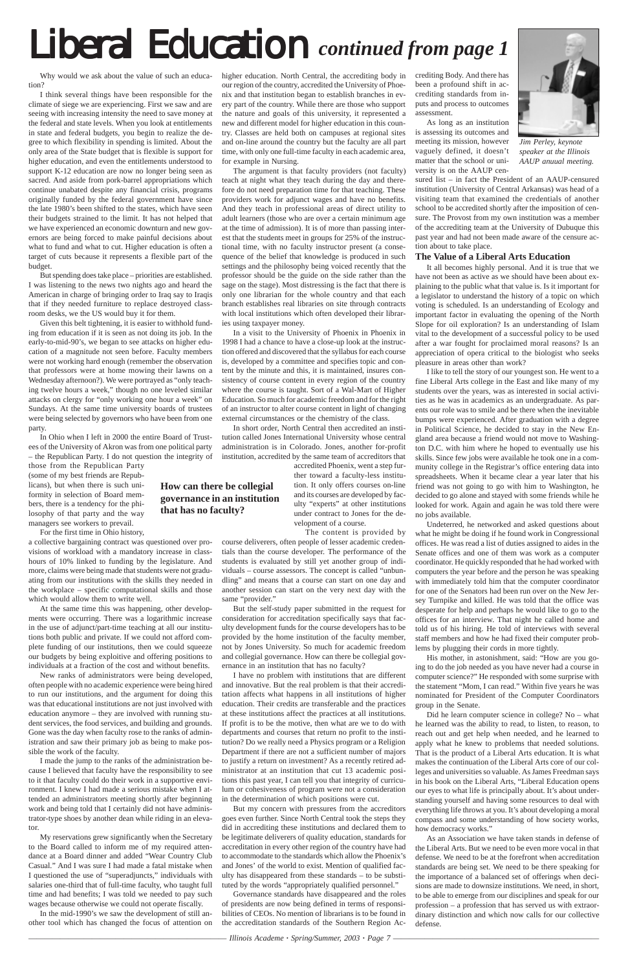# Liberal Education *continued from page 1*

Why would we ask about the value of such an education?

I think several things have been responsible for the climate of siege we are experiencing. First we saw and are seeing with increasing intensity the need to save money at the federal and state levels. When you look at entitlements in state and federal budgets, you begin to realize the degree to which flexibility in spending is limited. About the only area of the State budget that is flexible is support for higher education, and even the entitlements understood to support K-12 education are now no longer being seen as sacred. And aside from pork-barrel appropriations which continue unabated despite any financial crisis, programs originally funded by the federal government have since the late 1980's been shifted to the states, which have seen their budgets strained to the limit. It has not helped that we have experienced an economic downturn and new governors are being forced to make painful decisions about what to fund and what to cut. Higher education is often a target of cuts because it represents a flexible part of the budget.

But spending does take place – priorities are established. I was listening to the news two nights ago and heard the American in charge of bringing order to Iraq say to Iraqis that if they needed furniture to replace destroyed classroom desks, we the US would buy it for them.

Given this belt tightening, it is easier to withhold funding from education if it is seen as not doing its job. In the early-to-mid-90's, we began to see attacks on higher education of a magnitude not seen before. Faculty members were not working hard enough (remember the observation that professors were at home mowing their lawns on a Wednesday afternoon?). We were portrayed as "only teaching twelve hours a week," though no one leveled similar attacks on clergy for "only working one hour a week" on Sundays. At the same time university boards of trustees were being selected by governors who have been from one party.

In Ohio when I left in 2000 the entire Board of Trustees of the University of Akron was from one political party – the Republican Party. I do not question the integrity of

those from the Republican Party (some of my best friends are Republicans), but when there is such uniformity in selection of Board members, there is a tendency for the philosophy of that party and the way managers see workers to prevail.

For the first time in Ohio history,

a collective bargaining contract was questioned over provisions of workload with a mandatory increase in classhours of 10% linked to funding by the legislature. And more, claims were being made that students were not graduating from our institutions with the skills they needed in the workplace – specific computational skills and those which would allow them to write well.

At the same time this was happening, other developments were occurring. There was a logarithmic increase in the use of adjunct/part-time teaching at all our institutions both public and private. If we could not afford complete funding of our institutions, then we could squeeze our budgets by being exploitive and offering positions to individuals at a fraction of the cost and without benefits.

New ranks of administrators were being developed, often people with no academic experience were being hired to run our institutions, and the argument for doing this was that educational institutions are not just involved with education anymore – they are involved with running student services, the food services, and building and grounds. Gone was the day when faculty rose to the ranks of administration and saw their primary job as being to make possible the work of the faculty. I made the jump to the ranks of the administration because I believed that faculty have the responsibility to see to it that faculty could do their work in a supportive environment. I knew I had made a serious mistake when I attended an administrators meeting shortly after beginning work and being told that I certainly did not have administrator-type shoes by another dean while riding in an elevator. My reservations grew significantly when the Secretary to the Board called to inform me of my required attendance at a Board dinner and added "Wear Country Club Casual." And I was sure I had made a fatal mistake when I questioned the use of "superadjuncts," individuals with salaries one-third that of full-time faculty, who taught full time and had benefits; I was told we needed to pay such wages because otherwise we could not operate fiscally.

In the mid-1990's we saw the development of still another tool which has changed the focus of attention on higher education. North Central, the accrediting body in our region of the country, accredited the University of Phoenix and that institution began to establish branches in every part of the country. While there are those who support the nature and goals of this university, it represented a new and different model for higher education in this country. Classes are held both on campuses at regional sites and on-line around the country but the faculty are all part time, with only one full-time faculty in each academic area, for example in Nursing.

The argument is that faculty providers (not faculty) teach at night what they teach during the day and therefore do not need preparation time for that teaching. These providers work for adjunct wages and have no benefits. And they teach in professional areas of direct utility to adult learners (those who are over a certain minimum age at the time of admission). It is of more than passing interest that the students meet in groups for 25% of the instructional time, with no faculty instructor present (a consequence of the belief that knowledge is produced in such settings and the philosophy being voiced recently that the professor should be the guide on the side rather than the sage on the stage). Most distressing is the fact that there is only one librarian for the whole country and that each branch establishes real libraries on site through contracts with local institutions which often developed their libraries using taxpayer money.

In a visit to the University of Phoenix in Phoenix in 1998 I had a chance to have a close-up look at the instruction offered and discovered that the syllabus for each course is, developed by a committee and specifies topic and content by the minute and this, it is maintained, insures consistency of course content in every region of the country where the course is taught. Sort of a Wal-Mart of Higher Education. So much for academic freedom and for the right of an instructor to alter course content in light of changing external circumstances or the chemistry of the class.

In short order, North Central then accredited an institution called Jones International University whose central administration is in Colorado. Jones, another for-profit institution, accredited by the same team of accreditors that

accredited Phoenix, went a step fur-

The content is provided by

course deliverers, often people of lesser academic credentials than the course developer. The performance of the students is evaluated by still yet another group of individuals – course assessors. The concept is called "unbundling" and means that a course can start on one day and another session can start on the very next day with the same "provider."

But the self-study paper submitted in the request for consideration for accreditation specifically says that faculty development funds for the course developers has to be provided by the home institution of the faculty member, not by Jones University. So much for academic freedom and collegial governance. How can there be collegial governance in an institution that has no faculty?

I have no problem with institutions that are different and innovative. But the real problem is that their accreditation affects what happens in all institutions of higher education. Their credits are transferable and the practices at these institutions affect the practices at all institutions. If profit is to be the motive, then what are we to do with departments and courses that return no profit to the institution? Do we really need a Physics program or a Religion Department if there are not a sufficient number of majors to justify a return on investment? As a recently retired administrator at an institution that cut 13 academic positions this past year, I can tell you that integrity of curriculum or cohesiveness of program were not a consideration in the determination of which positions were cut. But my concern with pressures from the accreditors goes even further. Since North Central took the steps they did in accrediting these institutions and declared them to be legitimate deliverers of quality education, standards for accreditation in every other region of the country have had to accommodate to the standards which allow the Phoenix's and Jones' of the world to exist. Mention of qualified faculty has disappeared from these standards – to be substituted by the words "appropriately qualified personnel." Governance standards have disappeared and the roles of presidents are now being defined in terms of responsibilities of CEOs. No mention of librarians is to be found in the accreditation standards of the Southern Region Accrediting Body. And there has been a profound shift in accrediting standards from inputs and process to outcomes assessment.

As long as an institution is assessing its outcomes and meeting its mission, however vaguely defined, it doesn't matter that the school or university is on the AAUP cen-

sured list – in fact the President of an AAUP-censured institution (University of Central Arkansas) was head of a visiting team that examined the credentials of another school to be accredited shortly after the imposition of censure. The Provost from my own institution was a member of the accrediting team at the University of Dubuque this past year and had not been made aware of the censure action about to take place.

#### **The Value of a Liberal Arts Education**

It all becomes highly personal. And it is true that we have not been as active as we should have been about explaining to the public what that value is. Is it important for a legislator to understand the history of a topic on which voting is scheduled. Is an understanding of Ecology and important factor in evaluating the opening of the North Slope for oil exploration? Is an understanding of Islam vital to the development of a successful policy to be used after a war fought for proclaimed moral reasons? Is an appreciation of opera critical to the biologist who seeks pleasure in areas other than work?

ther toward a faculty-less institution. It only offers courses on-line and its courses are developed by faculty "experts" at other institutions under contract to Jones for the development of a course. **governance in an institution**

I like to tell the story of our youngest son. He went to a fine Liberal Arts college in the East and like many of my students over the years, was as interested in social activities as he was in academics as an undergraduate. As parents our role was to smile and be there when the inevitable bumps were experienced. After graduation with a degree in Political Science, he decided to stay in the New England area because a friend would not move to Washington D.C. with him where he hoped to eventually use his skills. Since few jobs were available he took one in a community college in the Registrar's office entering data into spreadsheets. When it became clear a year later that his friend was not going to go with him to Washington, he decided to go alone and stayed with some friends while he looked for work. Again and again he was told there were no jobs available.

Undeterred, he networked and asked questions about what he might be doing if he found work in Congressional offices. He was read a list of duties assigned to aides in the Senate offices and one of them was work as a computer coordinator. He quickly responded that he had worked with computers the year before and the person he was speaking with immediately told him that the computer coordinator for one of the Senators had been run over on the New Jersey Turnpike and killed. He was told that the office was desperate for help and perhaps he would like to go to the offices for an interview. That night he called home and told us of his hiring. He told of interviews with several staff members and how he had fixed their computer problems by plugging their cords in more tightly.

His mother, in astonishment, said: "How are you going to do the job needed as you have never had a course in computer science?" He responded with some surprise with the statement "Mom, I can read." Within five years he was nominated for President of the Computer Coordinators group in the Senate.

Did he learn computer science in college? No – what he learned was the ability to read, to listen, to reason, to reach out and get help when needed, and he learned to apply what he knew to problems that needed solutions. That is the product of a Liberal Arts education. It is what makes the continuation of the Liberal Arts core of our colleges and universities so valuable. As James Freedman says in his book on the Liberal Arts, "Liberal Education opens our eyes to what life is principally about. It's about understanding yourself and having some resources to deal with everything life throws at you. It's about developing a moral compass and some understanding of how society works, how democracy works." As an Association we have taken stands in defense of the Liberal Arts. But we need to be even more vocal in that defense. We need to be at the forefront when accreditation standards are being set. We need to be there speaking for the importance of a balanced set of offerings when decisions are made to downsize institutions. We need, in short, to be able to emerge from our disciplines and speak for our profession – a profession that has served us with extraordinary distinction and which now calls for our collective defense.

————————————————————————— *Illinois Academe · Spring/Summer, 2003 · Page 7* ——————————————————————————



*Jim Perley, keynote speaker at the Illinois AAUP anuual meeting.*

**How can there be collegial**

**that has no faculty?**